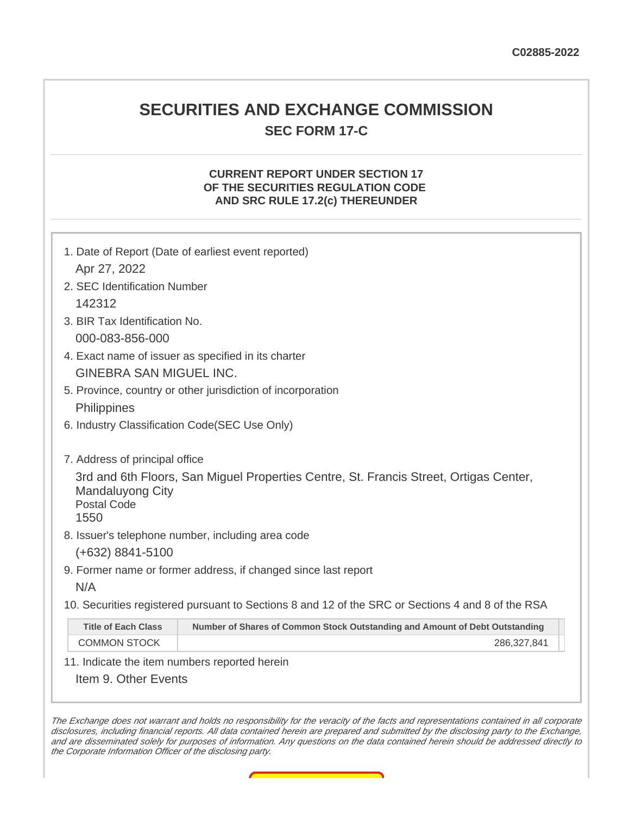## **SECURITIES AND EXCHANGE COMMISSION SEC FORM 17-C**

#### **CURRENT REPORT UNDER SECTION 17 OF THE SECURITIES REGULATION CODE AND SRC RULE 17.2(c) THEREUNDER**

| 1. Date of Report (Date of earliest event reported)                                                                                            |                                                                             |  |
|------------------------------------------------------------------------------------------------------------------------------------------------|-----------------------------------------------------------------------------|--|
| Apr 27, 2022                                                                                                                                   |                                                                             |  |
| 2. SEC Identification Number                                                                                                                   |                                                                             |  |
| 142312                                                                                                                                         |                                                                             |  |
| 3. BIR Tax Identification No.                                                                                                                  |                                                                             |  |
| 000-083-856-000                                                                                                                                |                                                                             |  |
| 4. Exact name of issuer as specified in its charter                                                                                            |                                                                             |  |
| <b>GINEBRA SAN MIGUEL INC.</b>                                                                                                                 |                                                                             |  |
| 5. Province, country or other jurisdiction of incorporation                                                                                    |                                                                             |  |
| Philippines                                                                                                                                    |                                                                             |  |
| 6. Industry Classification Code(SEC Use Only)                                                                                                  |                                                                             |  |
|                                                                                                                                                |                                                                             |  |
| 7. Address of principal office                                                                                                                 |                                                                             |  |
| 3rd and 6th Floors, San Miguel Properties Centre, St. Francis Street, Ortigas Center,<br><b>Mandaluyong City</b><br><b>Postal Code</b><br>1550 |                                                                             |  |
| 8. Issuer's telephone number, including area code                                                                                              |                                                                             |  |
| $(+632)$ 8841-5100                                                                                                                             |                                                                             |  |
| 9. Former name or former address, if changed since last report                                                                                 |                                                                             |  |
| N/A                                                                                                                                            |                                                                             |  |
| 10. Securities registered pursuant to Sections 8 and 12 of the SRC or Sections 4 and 8 of the RSA                                              |                                                                             |  |
| <b>Title of Each Class</b>                                                                                                                     | Number of Shares of Common Stock Outstanding and Amount of Debt Outstanding |  |
| <b>COMMON STOCK</b>                                                                                                                            | 286,327,841                                                                 |  |
| 11. Indicate the item numbers reported herein                                                                                                  |                                                                             |  |
| Item 9. Other Events                                                                                                                           |                                                                             |  |
|                                                                                                                                                |                                                                             |  |

The Exchange does not warrant and holds no responsibility for the veracity of the facts and representations contained in all corporate disclosures, including financial reports. All data contained herein are prepared and submitted by the disclosing party to the Exchange, and are disseminated solely for purposes of information. Any questions on the data contained herein should be addressed directly to the Corporate Information Officer of the disclosing party.

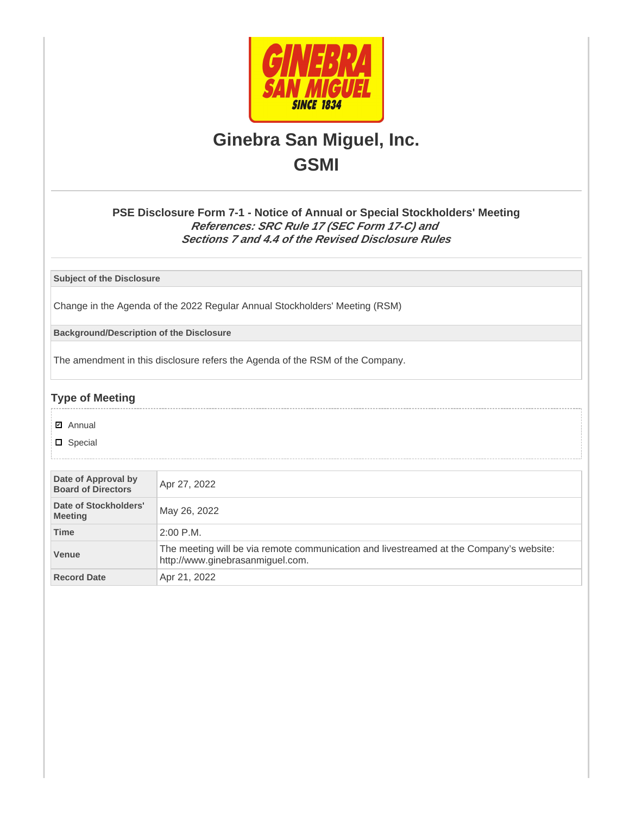

# **Ginebra San Miguel, Inc. GSMI**

### **PSE Disclosure Form 7-1 - Notice of Annual or Special Stockholders' Meeting References: SRC Rule 17 (SEC Form 17-C) and Sections 7 and 4.4 of the Revised Disclosure Rules**

**Subject of the Disclosure**

Change in the Agenda of the 2022 Regular Annual Stockholders' Meeting (RSM)

**Background/Description of the Disclosure**

The amendment in this disclosure refers the Agenda of the RSM of the Company.

### **Type of Meeting**

- **☑** Annual
- **D** Special

| Date of Approval by<br><b>Board of Directors</b> | Apr 27, 2022                                                                                                                |
|--------------------------------------------------|-----------------------------------------------------------------------------------------------------------------------------|
| Date of Stockholders'<br><b>Meeting</b>          | May 26, 2022                                                                                                                |
| <b>Time</b>                                      | $2:00$ P.M.                                                                                                                 |
| Venue                                            | The meeting will be via remote communication and livestreamed at the Company's website:<br>http://www.ginebrasanmiguel.com. |
| <b>Record Date</b>                               | Apr 21, 2022                                                                                                                |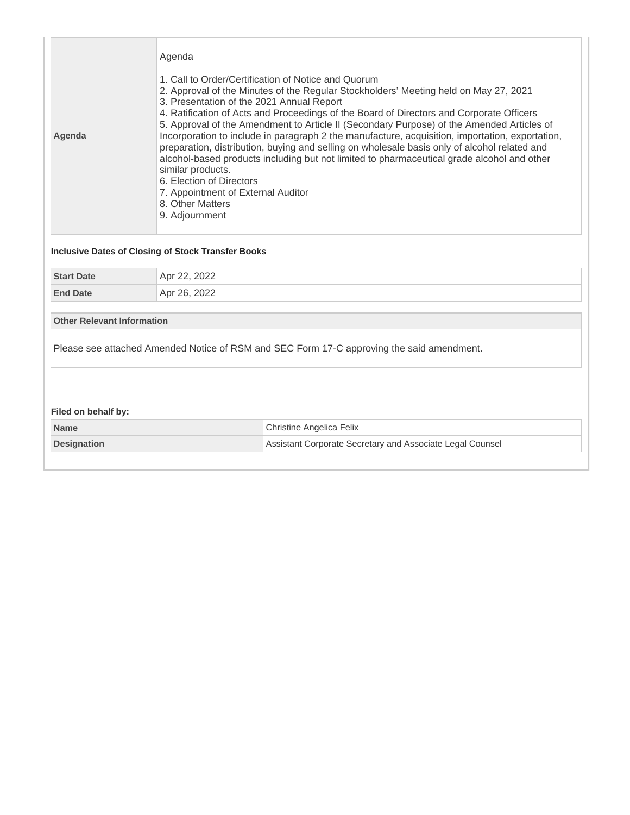| Agenda | Agenda<br>1. Call to Order/Certification of Notice and Quorum<br>2. Approval of the Minutes of the Regular Stockholders' Meeting held on May 27, 2021<br>3. Presentation of the 2021 Annual Report<br>4. Ratification of Acts and Proceedings of the Board of Directors and Corporate Officers<br>5. Approval of the Amendment to Article II (Secondary Purpose) of the Amended Articles of<br>Incorporation to include in paragraph 2 the manufacture, acquisition, importation, exportation,<br>preparation, distribution, buying and selling on wholesale basis only of alcohol related and<br>alcohol-based products including but not limited to pharmaceutical grade alcohol and other<br>similar products.<br>6. Election of Directors<br>7. Appointment of External Auditor<br>8. Other Matters |
|--------|---------------------------------------------------------------------------------------------------------------------------------------------------------------------------------------------------------------------------------------------------------------------------------------------------------------------------------------------------------------------------------------------------------------------------------------------------------------------------------------------------------------------------------------------------------------------------------------------------------------------------------------------------------------------------------------------------------------------------------------------------------------------------------------------------------|
|        | 9. Adjournment                                                                                                                                                                                                                                                                                                                                                                                                                                                                                                                                                                                                                                                                                                                                                                                          |

### **Inclusive Dates of Closing of Stock Transfer Books**

| <b>Start Date</b> | Apr 22, 2022 |
|-------------------|--------------|
| <b>End Date</b>   | Apr 26, 2022 |

**Other Relevant Information**

Please see attached Amended Notice of RSM and SEC Form 17-C approving the said amendment.

### **Filed on behalf by:**

| <b>Name</b>        | Christine Angelica Felix                                  |
|--------------------|-----------------------------------------------------------|
| <b>Designation</b> | Assistant Corporate Secretary and Associate Legal Counsel |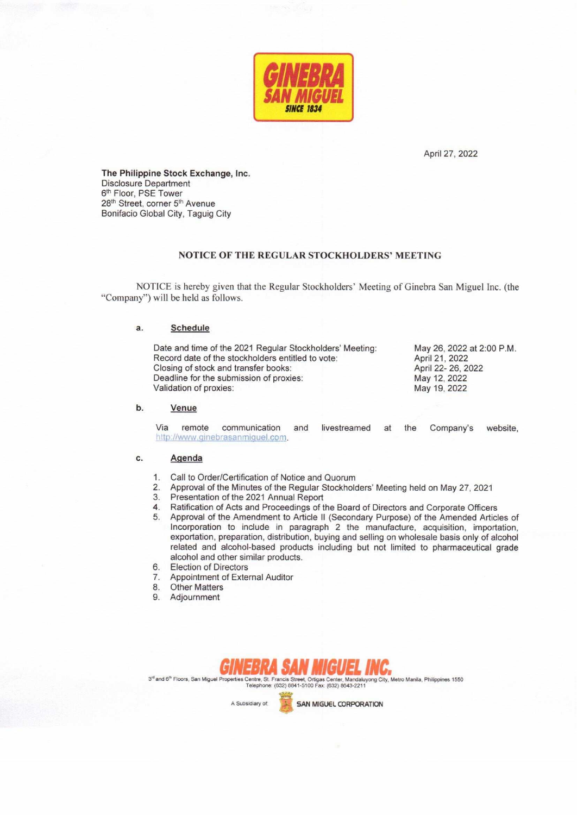

April 27, 2022

The Philippine Stock Exchange, Inc. Disclosure Department 6th Floor, PSE Tower 28<sup>th</sup> Street, corner 5<sup>th</sup> Avenue Bonifacio Global City, Taguig City

#### NOTICE OF THE REGULAR STOCKHOLDERS' MEETING

NOTICE is hereby given that the Regular Stockholders' Meeting of Ginebra San Miguel Inc. (the "Company") will be held as follows.

#### **Schedule** a.

| Date and time of the 2021 Regular Stockholders' Meeting:<br>Record date of the stockholders entitled to vote: | May 26, 2022 at 2:00 P.M.<br>April 21, 2022 |
|---------------------------------------------------------------------------------------------------------------|---------------------------------------------|
| Closing of stock and transfer books:                                                                          | April 22- 26, 2022                          |
| Deadline for the submission of proxies:                                                                       | May 12, 2022                                |
| Validation of proxies:                                                                                        | May 19, 2022                                |

#### b. Venue

Via remote communication and livestreamed at the Company's website, http://www.ginebrasanmiquel.com.

#### c. Agenda

- Call to Order/Certification of Notice and Quorum  $1.$
- Approval of the Minutes of the Regular Stockholders' Meeting held on May 27, 2021  $2.$
- $3.$ Presentation of the 2021 Annual Report
- Ratification of Acts and Proceedings of the Board of Directors and Corporate Officers  $4.$
- 5. Approval of the Amendment to Article II (Secondary Purpose) of the Amended Articles of Incorporation to include in paragraph 2 the manufacture, acquisition, importation, exportation, preparation, distribution, buying and selling on wholesale basis only of alcohol related and alcohol-based products including but not limited to pharmaceutical grade alcohol and other similar products.
- 6. **Election of Directors**
- Appointment of External Auditor  $7.$
- 8. **Other Matters**
- 9. Adjournment



Centre, St. Francis Street, Ortigas Center, Mandaluyong City, Metro Manila, Philippines 1550<br>Telephone: (632) 8841-5100 Fax: (632) 8843-2211 3<sup>rd</sup> and 6<sup>th</sup> Floors, San Miguel Prop

A Subsidiary of:

**SAN MIGUEL CORPORATION**